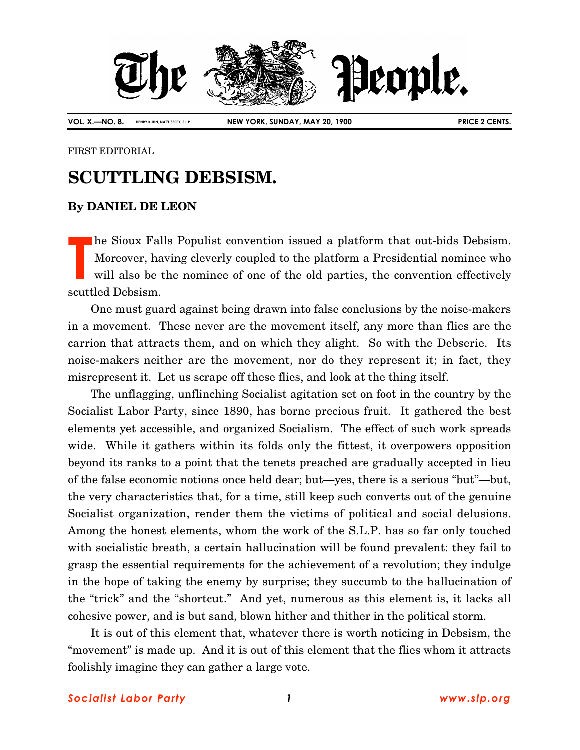

FIRST EDITORIAL

## **SCUTTLING DEBSISM.**

## **By DANIEL DE LEON**

he Sioux Falls Populist convention issued a platform that out-bids Debsism. Moreover, having cleverly coupled to the platform a Presidential nominee who will also be the nominee of one of the old parties, the convention effectively scuttled Debsism. **T**

One must guard against being drawn into false conclusions by the noise-makers in a movement. These never are the movement itself, any more than flies are the carrion that attracts them, and on which they alight. So with the Debserie. Its noise-makers neither are the movement, nor do they represent it; in fact, they misrepresent it. Let us scrape off these flies, and look at the thing itself.

The unflagging, unflinching Socialist agitation set on foot in the country by the Socialist Labor Party, since 1890, has borne precious fruit. It gathered the best elements yet accessible, and organized Socialism. The effect of such work spreads wide. While it gathers within its folds only the fittest, it overpowers opposition beyond its ranks to a point that the tenets preached are gradually accepted in lieu of the false economic notions once held dear; but—yes, there is a serious "but"—but, the very characteristics that, for a time, still keep such converts out of the genuine Socialist organization, render them the victims of political and social delusions. Among the honest elements, whom the work of the S.L.P. has so far only touched with socialistic breath, a certain hallucination will be found prevalent: they fail to grasp the essential requirements for the achievement of a revolution; they indulge in the hope of taking the enemy by surprise; they succumb to the hallucination of the "trick" and the "shortcut." And yet, numerous as this element is, it lacks all cohesive power, and is but sand, blown hither and thither in the political storm.

It is out of this element that, whatever there is worth noticing in Debsism, the "movement" is made up. And it is out of this element that the flies whom it attracts foolishly imagine they can gather a large vote.

## *Socialist Labor Party 1 www.slp.org*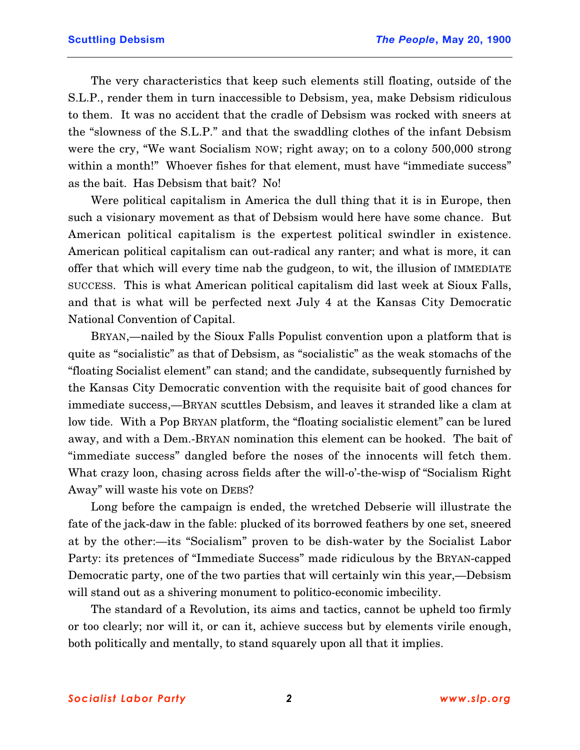The very characteristics that keep such elements still floating, outside of the S.L.P., render them in turn inaccessible to Debsism, yea, make Debsism ridiculous to them. It was no accident that the cradle of Debsism was rocked with sneers at the "slowness of the S.L.P." and that the swaddling clothes of the infant Debsism were the cry, "We want Socialism NOW; right away; on to a colony 500,000 strong within a month!" Whoever fishes for that element, must have "immediate success" as the bait. Has Debsism that bait? No!

Were political capitalism in America the dull thing that it is in Europe, then such a visionary movement as that of Debsism would here have some chance. But American political capitalism is the expertest political swindler in existence. American political capitalism can out-radical any ranter; and what is more, it can offer that which will every time nab the gudgeon, to wit, the illusion of IMMEDIATE SUCCESS. This is what American political capitalism did last week at Sioux Falls, and that is what will be perfected next July 4 at the Kansas City Democratic National Convention of Capital.

BRYAN,—nailed by the Sioux Falls Populist convention upon a platform that is quite as "socialistic" as that of Debsism, as "socialistic" as the weak stomachs of the "floating Socialist element" can stand; and the candidate, subsequently furnished by the Kansas City Democratic convention with the requisite bait of good chances for immediate success,—BRYAN scuttles Debsism, and leaves it stranded like a clam at low tide. With a Pop BRYAN platform, the "floating socialistic element" can be lured away, and with a Dem.-BRYAN nomination this element can be hooked. The bait of "immediate success" dangled before the noses of the innocents will fetch them. What crazy loon, chasing across fields after the will-o'-the-wisp of "Socialism Right" Away" will waste his vote on DEBS?

Long before the campaign is ended, the wretched Debserie will illustrate the fate of the jack-daw in the fable: plucked of its borrowed feathers by one set, sneered at by the other:—its "Socialism" proven to be dish-water by the Socialist Labor Party: its pretences of "Immediate Success" made ridiculous by the BRYAN-capped Democratic party, one of the two parties that will certainly win this year,—Debsism will stand out as a shivering monument to politico-economic imbecility.

The standard of a Revolution, its aims and tactics, cannot be upheld too firmly or too clearly; nor will it, or can it, achieve success but by elements virile enough, both politically and mentally, to stand squarely upon all that it implies.